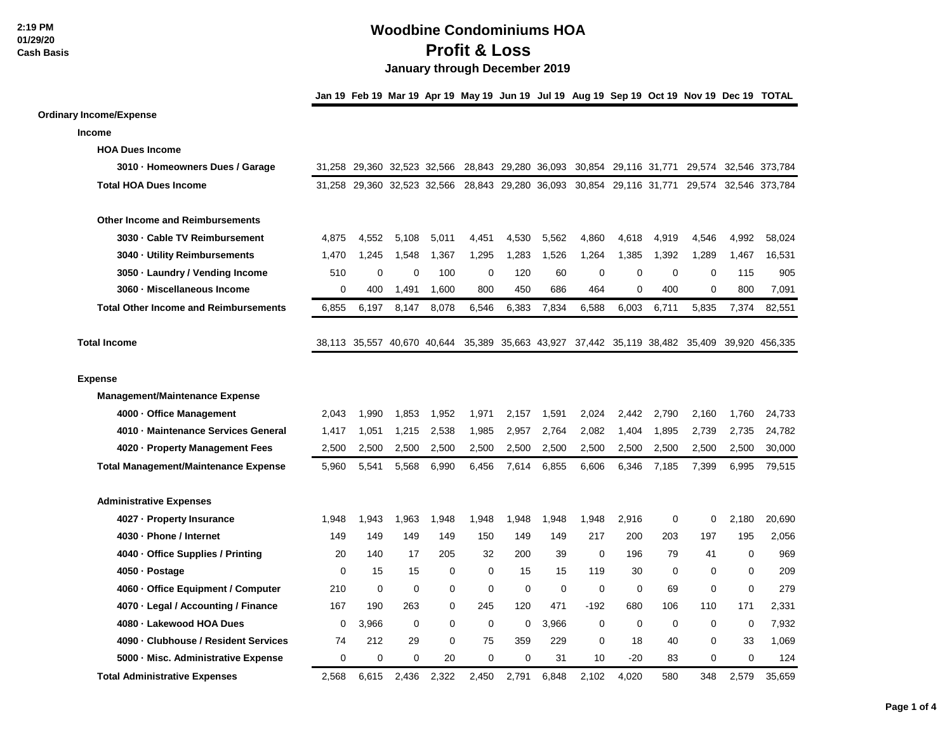**Income**

**Expense**

## **Woodbine Condominiums HOA Profit & Loss January through December 2019**

**Jan 19 Feb 19 Mar 19 Apr 19 May 19 Jun 19 Jul 19 Aug 19 Sep 19 Oct 19 Nov 19 Dec 19 TOTAL Ordinary Income/Expense HOA Dues Income 3010 · Homeowners Dues / Garage** 31,258 29,360 32,523 32,566 28,843 29,280 36,093 30,854 29,116 31,771 29,574 32,546 373,784 **Total HOA Dues Income** 31,258 29,360 32,523 32,566 28,843 29,280 36,093 30,854 29,116 31,771 29,574 32,546 373,784 **Other Income and Reimbursements 3030 · Cable TV Reimbursement** 4,875 4,552 5,108 5,011 4,451 4,530 5,562 4,860 4,618 4,919 4,546 4,992 58,024 **3040 · Utility Reimbursements** 1,470 1,245 1,548 1,367 1,295 1,283 1,526 1,264 1,385 1,392 1,289 1,467 16,531 **3050 · Laundry / Vending Income** 510 0 0 100 0 120 60 0 0 0 0 115 905 **3060 · Miscellaneous Income** 0 400 1,491 1,600 800 450 686 464 0 400 0 800 7,091 **Total Other Income and Reimbursements** 6,855 6,197 8,147 8,078 6,546 6,383 7,834 6,588 6,003 6,711 5,835 7,374 82,551 **Total Income** 38,113 35,557 40,670 40,644 35,389 35,663 43,927 37,442 35,119 38,482 35,409 39,920 456,335 **Management/Maintenance Expense 4000 · Office Management** 2,043 1,990 1,853 1,952 1,971 2,157 1,591 2,024 2,442 2,790 2,160 1,760 24,733 **4010 · Maintenance Services General** 1,417 1,051 1,215 2,538 1,985 2,957 2,764 2,082 1,404 1,895 2,739 2,735 24,782 **4020 · Property Management Fees** 2,500 2,500 2,500 2,500 2,500 2,500 2,500 2,500 2,500 2,500 2,500 2,500 30,000 **Total Management/Maintenance Expense** 5,960 5,541 5,568 6,990 6,456 7,614 6,855 6,606 6,346 7,185 7,399 6,995 79,515 **Administrative Expenses 4027 · Property Insurance** 1,948 1,943 1,963 1,948 1,948 1,948 1,948 1,948 2,916 0 0 2,180 20,690 **4030 · Phone / Internet** 149 149 149 149 150 149 149 217 200 203 197 195 2,056 **4040 · Office Supplies / Printing** 20 140 17 205 32 200 39 0 196 79 41 0 969

**4050 · Postage** 0 15 15 0 0 15 15 119 30 0 0 0 209 **4060 · Office Equipment / Computer** 210 0 0 0 0 0 0 0 0 69 0 0 279 **4070 · Legal / Accounting / Finance** 167 190 263 0 245 120 471 -192 680 106 110 171 2,331 **4080 · Lakewood HOA Dues** 0 3,966 0 0 0 0 3,966 0 0 0 0 0 7,932 **4090 · Clubhouse / Resident Services** 74 212 29 0 75 359 229 0 18 40 0 33 1,069 **5000 · Misc. Administrative Expense** 0 0 0 20 0 0 31 10 -20 83 0 0 124 **Total Administrative Expenses** 2,568 6,615 2,436 2,322 2,450 2,791 6,848 2,102 4,020 580 348 2,579 35,659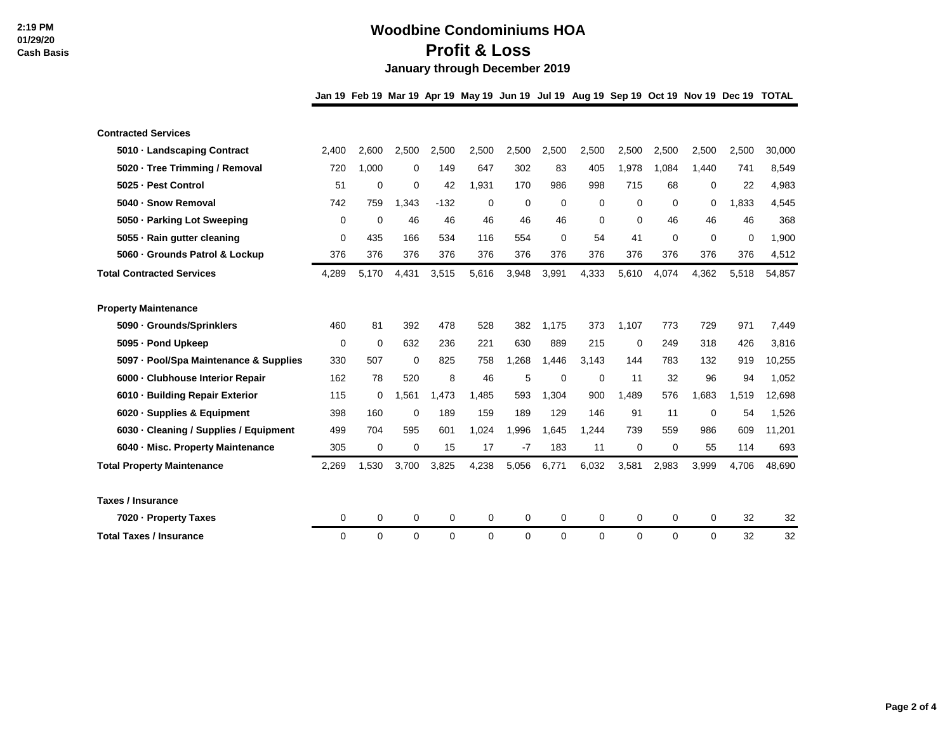## **Woodbine Condominiums HOA Profit & Loss January through December 2019**

**Jan 19 Feb 19 Mar 19 Apr 19 May 19 Jun 19 Jul 19 Aug 19 Sep 19 Oct 19 Nov 19 Dec 19 TOTAL**

| <b>Contracted Services</b>             |       |             |             |             |       |       |          |       |          |          |          |       |        |
|----------------------------------------|-------|-------------|-------------|-------------|-------|-------|----------|-------|----------|----------|----------|-------|--------|
| 5010 · Landscaping Contract            | 2.400 | 2.600       | 2,500       | 2,500       | 2,500 | 2,500 | 2,500    | 2,500 | 2,500    | 2,500    | 2,500    | 2.500 | 30,000 |
| 5020 · Tree Trimming / Removal         | 720   | 1.000       | 0           | 149         | 647   | 302   | 83       | 405   | 1,978    | 1.084    | 1.440    | 741   | 8,549  |
| 5025 - Pest Control                    | 51    | $\mathbf 0$ | 0           | 42          | 1,931 | 170   | 986      | 998   | 715      | 68       | 0        | 22    | 4,983  |
| 5040 - Snow Removal                    | 742   | 759         | 1.343       | $-132$      | 0     | 0     | 0        | 0     | $\Omega$ | $\Omega$ | 0        | 1,833 | 4,545  |
| 5050 - Parking Lot Sweeping            | 0     | $\mathbf 0$ | 46          | 46          | 46    | 46    | 46       | 0     | 0        | 46       | 46       | 46    | 368    |
| 5055 · Rain gutter cleaning            | 0     | 435         | 166         | 534         | 116   | 554   | 0        | 54    | 41       | $\Omega$ | 0        | 0     | 1,900  |
| 5060 - Grounds Patrol & Lockup         | 376   | 376         | 376         | 376         | 376   | 376   | 376      | 376   | 376      | 376      | 376      | 376   | 4,512  |
| <b>Total Contracted Services</b>       | 4,289 | 5,170       | 4,431       | 3,515       | 5,616 | 3,948 | 3,991    | 4,333 | 5,610    | 4,074    | 4,362    | 5,518 | 54,857 |
|                                        |       |             |             |             |       |       |          |       |          |          |          |       |        |
| <b>Property Maintenance</b>            |       |             |             |             |       |       |          |       |          |          |          |       |        |
| 5090 · Grounds/Sprinklers              | 460   | 81          | 392         | 478         | 528   | 382   | 1.175    | 373   | 1.107    | 773      | 729      | 971   | 7,449  |
| 5095 - Pond Upkeep                     | 0     | $\mathbf 0$ | 632         | 236         | 221   | 630   | 889      | 215   | 0        | 249      | 318      | 426   | 3,816  |
| 5097 - Pool/Spa Maintenance & Supplies | 330   | 507         | 0           | 825         | 758   | .268  | 1,446    | 3,143 | 144      | 783      | 132      | 919   | 10,255 |
| 6000 - Clubhouse Interior Repair       | 162   | 78          | 520         | 8           | 46    | 5     | 0        | 0     | 11       | 32       | 96       | 94    | 1,052  |
| 6010 - Building Repair Exterior        | 115   | 0           | .561        | ,473<br>1   | 1,485 | 593   | 1,304    | 900   | 1.489    | 576      | 1.683    | 1,519 | 12,698 |
| 6020 · Supplies & Equipment            | 398   | 160         | 0           | 189         | 159   | 189   | 129      | 146   | 91       | 11       | $\Omega$ | 54    | 1,526  |
| 6030 · Cleaning / Supplies / Equipment | 499   | 704         | 595         | 601         | 1.024 | 1.996 | 1.645    | 1.244 | 739      | 559      | 986      | 609   | 11,201 |
| 6040 - Misc. Property Maintenance      | 305   | 0           | 0           | 15          | 17    | -7    | 183      | 11    | 0        | 0        | 55       | 114   | 693    |
| <b>Total Property Maintenance</b>      | 2,269 | 1.530       | 3.700       | 3,825       | 4,238 | 5,056 | 6,771    | 6,032 | 3,581    | 2,983    | 3.999    | 4.706 | 48.690 |
|                                        |       |             |             |             |       |       |          |       |          |          |          |       |        |
| Taxes / Insurance                      |       |             |             |             |       |       |          |       |          |          |          |       |        |
| 7020 - Property Taxes                  | 0     | $\mathbf 0$ | $\mathbf 0$ | $\mathbf 0$ | 0     | 0     | 0        | 0     | 0        | 0        | $\Omega$ | 32    | 32     |
| <b>Total Taxes / Insurance</b>         | 0     | 0           | 0           | 0           | 0     | 0     | $\Omega$ | 0     | $\Omega$ | 0        | $\Omega$ | 32    | 32     |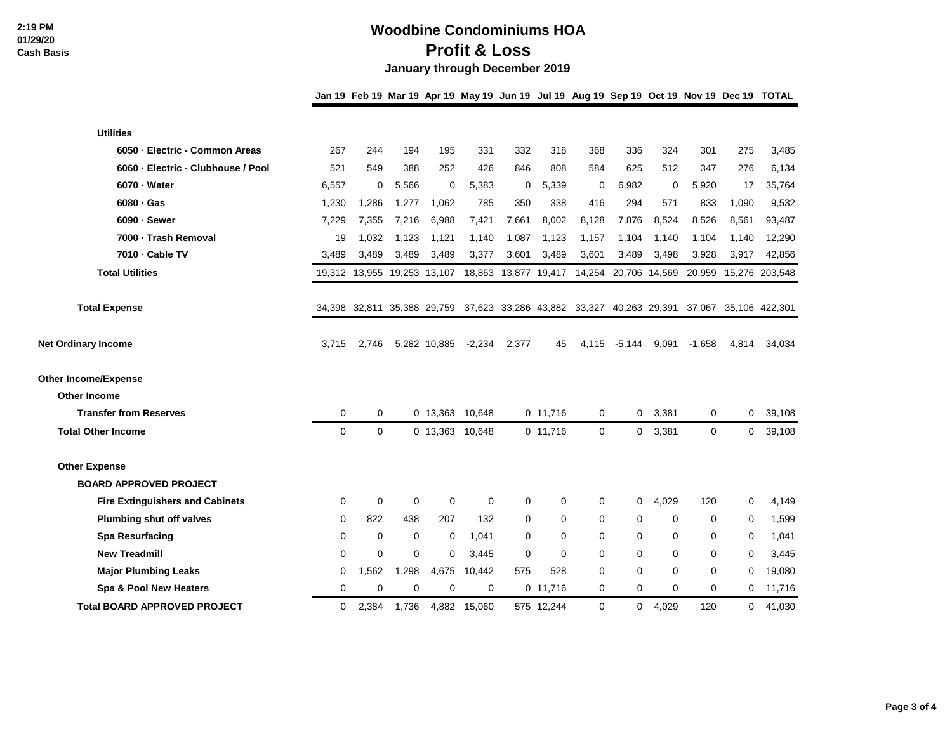## **Woodbine Condominiums HOA Profit & Loss January through December 2019**

**Jan 19 Feb 19 Mar 19 Apr 19 May 19 Jun 19 Jul 19 Aug 19 Sep 19 Oct 19 Nov 19 Dec 19 TOTAL**

| <b>Utilities</b>                       |       |                             |          |                 |          |       |            |                                           |               |             |             |              |                       |
|----------------------------------------|-------|-----------------------------|----------|-----------------|----------|-------|------------|-------------------------------------------|---------------|-------------|-------------|--------------|-----------------------|
| 6050 - Electric - Common Areas         | 267   | 244                         | 194      | 195             | 331      | 332   | 318        | 368                                       | 336           | 324         | 301         | 275          | 3,485                 |
| 6060 - Electric - Clubhouse / Pool     | 521   | 549                         | 388      | 252             | 426      | 846   | 808        | 584                                       | 625           | 512         | 347         | 276          | 6,134                 |
| 6070 - Water                           | 6,557 | $\mathbf 0$                 | 5,566    | 0               | 5,383    | 0     | 5,339      | 0                                         | 6,982         | $\mathbf 0$ | 5,920       | 17           | 35,764                |
| $6080 \cdot Gas$                       | 1,230 | 1,286                       | 1,277    | 1,062           | 785      | 350   | 338        | 416                                       | 294           | 571         | 833         | 1,090        | 9,532                 |
| $6090 -$ Sewer                         | 7,229 | 7,355                       | 7,216    | 6,988           | 7,421    | 7,661 | 8,002      | 8,128                                     | 7,876         | 8,524       | 8,526       | 8,561        | 93,487                |
| 7000 - Trash Removal                   | 19    | 1,032                       | 1,123    | 1,121           | 1,140    | 1,087 | 1,123      | 1,157                                     | 1,104         | 1,140       | 1,104       | 1.140        | 12,290                |
| 7010 - Cable TV                        | 3,489 | 3,489                       | 3,489    | 3,489           | 3,377    | 3,601 | 3,489      | 3,601                                     | 3,489         | 3,498       | 3,928       | 3,917        | 42,856                |
| <b>Total Utilities</b>                 |       | 19,312 13,955 19,253 13,107 |          |                 |          |       |            | 18,863 13,877 19,417 14,254               | 20,706 14,569 |             | 20,959      |              | 15,276 203,548        |
| <b>Total Expense</b>                   |       | 34,398 32,811 35,388 29,759 |          |                 |          |       |            | 37,623 33,286 43,882 33,327 40,263 29,391 |               |             |             |              | 37,067 35,106 422,301 |
| <b>Net Ordinary Income</b>             | 3,715 | 2,746                       |          | 5,282 10,885    | $-2,234$ | 2,377 | 45         | 4,115                                     | $-5,144$      | 9,091       | $-1,658$    | 4,814        | 34,034                |
| <b>Other Income/Expense</b>            |       |                             |          |                 |          |       |            |                                           |               |             |             |              |                       |
| <b>Other Income</b>                    |       |                             |          |                 |          |       |            |                                           |               |             |             |              |                       |
| <b>Transfer from Reserves</b>          | 0     | 0                           |          | 0 13,363 10,648 |          |       | 0 11,716   | 0                                         | 0             | 3,381       | 0           | $\mathbf{0}$ | 39,108                |
| <b>Total Other Income</b>              | 0     | $\mathbf 0$                 |          | 0 13,363        | 10,648   |       | 0 11,716   | $\mathbf 0$                               | 0             | 3,381       | 0           | 0            | 39,108                |
| <b>Other Expense</b>                   |       |                             |          |                 |          |       |            |                                           |               |             |             |              |                       |
| <b>BOARD APPROVED PROJECT</b>          |       |                             |          |                 |          |       |            |                                           |               |             |             |              |                       |
| <b>Fire Extinguishers and Cabinets</b> | 0     | $\mathbf 0$                 | 0        | 0               | 0        | 0     | 0          | 0                                         | 0             | 4,029       | 120         | 0            | 4,149                 |
| <b>Plumbing shut off valves</b>        | 0     | 822                         | 438      | 207             | 132      | 0     | 0          | $\mathbf 0$                               | 0             | $\mathbf 0$ | $\mathbf 0$ | 0            | 1,599                 |
| Spa Resurfacing                        | 0     | $\Omega$                    | $\Omega$ | 0               | 1,041    | 0     | 0          | 0                                         | $\Omega$      | 0           | 0           | 0            | 1,041                 |
| <b>New Treadmill</b>                   | 0     | $\mathbf 0$                 | 0        | 0               | 3,445    | 0     | $\Omega$   | $\Omega$                                  | $\Omega$      | 0           | 0           | 0            | 3,445                 |
| <b>Major Plumbing Leaks</b>            | 0     | 1,562                       | 1,298    | 4,675           | 10,442   | 575   | 528        | $\Omega$                                  | $\Omega$      | $\mathbf 0$ | $\mathbf 0$ | 0            | 19,080                |
| Spa & Pool New Heaters                 | 0     | $\Omega$                    | $\Omega$ | $\Omega$        | 0        |       | $0$ 11.716 | $\Omega$                                  | $\Omega$      | $\Omega$    | 0           | 0            | 11,716                |
| <b>Total BOARD APPROVED PROJECT</b>    | 0     | 2,384                       | 1,736    | 4,882           | 15,060   |       | 575 12,244 | $\mathbf 0$                               | 0             | 4,029       | 120         | 0            | 41,030                |